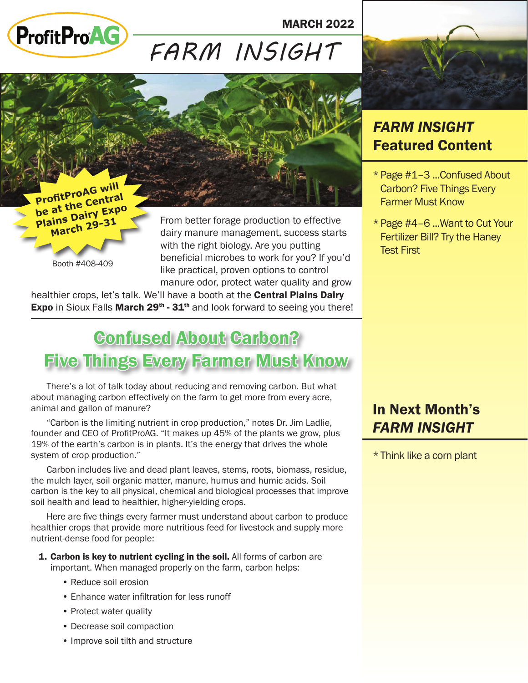

MARCH 2022

# *FARM INSIGHT*



**ProfitProAG will be at the Centra<sup>l</sup> Plains Dairy Expo March 29-<sup>31</sup>**

Booth #408-409

From better forage production to effective dairy manure management, success starts with the right biology. Are you putting beneficial microbes to work for you? If you'd like practical, proven options to control manure odor, protect water quality and grow

healthier crops, let's talk. We'll have a booth at the **Central Plains Dairy Expo** in Sioux Falls **March 29<sup>th</sup>** -  $31<sup>th</sup>$  and look forward to seeing you there!

## Confused About Carbon? Five Things Every Farmer Must Know

There's a lot of talk today about reducing and removing carbon. But what about managing carbon effectively on the farm to get more from every acre, animal and gallon of manure?

"Carbon is the limiting nutrient in crop production," notes Dr. Jim Ladlie, founder and CEO of ProfitProAG. "It makes up 45% of the plants we grow, plus 19% of the earth's carbon is in plants. It's the energy that drives the whole system of crop production."

Carbon includes live and dead plant leaves, stems, roots, biomass, residue, the mulch layer, soil organic matter, manure, humus and humic acids. Soil carbon is the key to all physical, chemical and biological processes that improve soil health and lead to healthier, higher-yielding crops.

Here are five things every farmer must understand about carbon to produce healthier crops that provide more nutritious feed for livestock and supply more nutrient-dense food for people:

- 1. Carbon is key to nutrient cycling in the soil. All forms of carbon are important. When managed properly on the farm, carbon helps:
	- Reduce soil erosion
	- Enhance water infiltration for less runoff
	- Protect water quality
	- Decrease soil compaction
	- Improve soil tilth and structure

## *FARM INSIGHT* Featured Content

- \*Page #1–3 ...Confused About Carbon? Five Things Every Farmer Must Know
- \*Page #4–6 ...Want to Cut Your Fertilizer Bill? Try the Haney Test First

## In Next Month's *FARM INSIGHT*

\*Think like a corn plant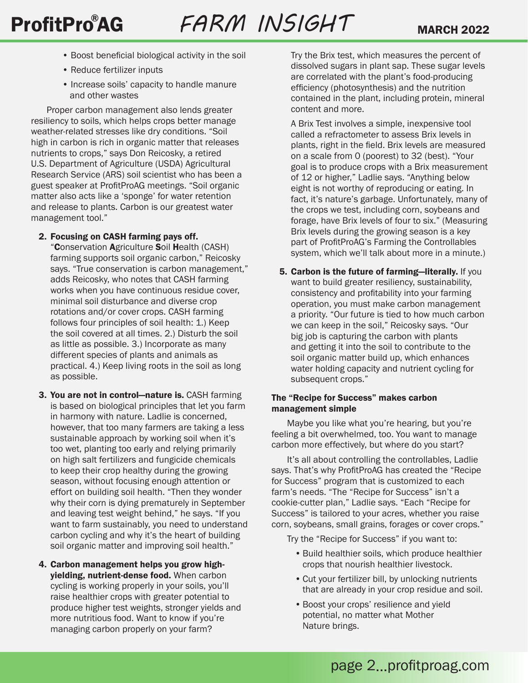- Boost beneficial biological activity in the soil
- Reduce fertilizer inputs
- Increase soils' capacity to handle manure and other wastes

Proper carbon management also lends greater resiliency to soils, which helps crops better manage weather-related stresses like dry conditions. "Soil high in carbon is rich in organic matter that releases nutrients to crops," says Don Reicosky, a retired U.S. Department of Agriculture (USDA) Agricultural Research Service (ARS) soil scientist who has been a guest speaker at ProfitProAG meetings. "Soil organic matter also acts like a 'sponge' for water retention and release to plants. Carbon is our greatest water management tool."

#### 2. Focusing on CASH farming pays off.

"Conservation Agriculture Soil Health (CASH) farming supports soil organic carbon," Reicosky says. "True conservation is carbon management," adds Reicosky, who notes that CASH farming works when you have continuous residue cover, minimal soil disturbance and diverse crop rotations and/or cover crops. CASH farming follows four principles of soil health: 1.) Keep the soil covered at all times. 2.) Disturb the soil as little as possible. 3.) Incorporate as many different species of plants and animals as practical. 4.) Keep living roots in the soil as long as possible.

- 3. You are not in control-nature is. CASH farming is based on biological principles that let you farm in harmony with nature. Ladlie is concerned, however, that too many farmers are taking a less sustainable approach by working soil when it's too wet, planting too early and relying primarily on high salt fertilizers and fungicide chemicals to keep their crop healthy during the growing season, without focusing enough attention or effort on building soil health. "Then they wonder why their corn is dying prematurely in September and leaving test weight behind," he says. "If you want to farm sustainably, you need to understand carbon cycling and why it's the heart of building soil organic matter and improving soil health."
- 4. Carbon management helps you grow highyielding, nutrient-dense food. When carbon cycling is working properly in your soils, you'll raise healthier crops with greater potential to produce higher test weights, stronger yields and more nutritious food. Want to know if you're managing carbon properly on your farm?

Try the Brix test, which measures the percent of dissolved sugars in plant sap. These sugar levels are correlated with the plant's food-producing efficiency (photosynthesis) and the nutrition contained in the plant, including protein, mineral content and more.

A Brix Test involves a simple, inexpensive tool called a refractometer to assess Brix levels in plants, right in the field. Brix levels are measured on a scale from 0 (poorest) to 32 (best). "Your goal is to produce crops with a Brix measurement of 12 or higher," Ladlie says. "Anything below eight is not worthy of reproducing or eating. In fact, it's nature's garbage. Unfortunately, many of the crops we test, including corn, soybeans and forage, have Brix levels of four to six." (Measuring Brix levels during the growing season is a key part of ProfitProAG's Farming the Controllables system, which we'll talk about more in a minute.)

5. Carbon is the future of farming—literally. If you want to build greater resiliency, sustainability, consistency and profitability into your farming operation, you must make carbon management a priority. "Our future is tied to how much carbon we can keep in the soil," Reicosky says. "Our big job is capturing the carbon with plants and getting it into the soil to contribute to the soil organic matter build up, which enhances water holding capacity and nutrient cycling for subsequent crops."

### The "Recipe for Success" makes carbon management simple

Maybe you like what you're hearing, but you're feeling a bit overwhelmed, too. You want to manage carbon more effectively, but where do you start?

It's all about controlling the controllables, Ladlie says. That's why ProfitProAG has created the "Recipe for Success" program that is customized to each farm's needs. "The "Recipe for Success" isn't a cookie-cutter plan," Ladlie says. "Each "Recipe for Success" is tailored to your acres, whether you raise corn, soybeans, small grains, forages or cover crops."

Try the "Recipe for Success" if you want to:

- •Build healthier soils, which produce healthier crops that nourish healthier livestock.
- •Cut your fertilizer bill, by unlocking nutrients that are already in your crop residue and soil.
- •Boost your crops' resilience and yield potential, no matter what Mother Nature brings.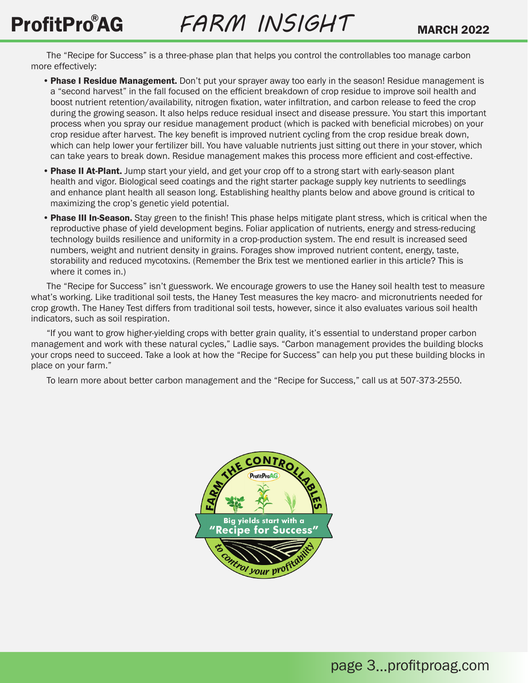The "Recipe for Success" is a three-phase plan that helps you control the controllables too manage carbon more effectively:

- Phase I Residue Management. Don't put your sprayer away too early in the season! Residue management is a "second harvest" in the fall focused on the efficient breakdown of crop residue to improve soil health and boost nutrient retention/availability, nitrogen fixation, water infiltration, and carbon release to feed the crop during the growing season. It also helps reduce residual insect and disease pressure. You start this important process when you spray our residue management product (which is packed with beneficial microbes) on your crop residue after harvest. The key benefit is improved nutrient cycling from the crop residue break down, which can help lower your fertilizer bill. You have valuable nutrients just sitting out there in your stover, which can take years to break down. Residue management makes this process more efficient and cost-effective.
- Phase II At-Plant. Jump start your yield, and get your crop off to a strong start with early-season plant health and vigor. Biological seed coatings and the right starter package supply key nutrients to seedlings and enhance plant health all season long. Establishing healthy plants below and above ground is critical to maximizing the crop's genetic yield potential.
- Phase III In-Season. Stay green to the finish! This phase helps mitigate plant stress, which is critical when the reproductive phase of yield development begins. Foliar application of nutrients, energy and stress-reducing technology builds resilience and uniformity in a crop-production system. The end result is increased seed numbers, weight and nutrient density in grains. Forages show improved nutrient content, energy, taste, storability and reduced mycotoxins. (Remember the Brix test we mentioned earlier in this article? This is where it comes in.)

The "Recipe for Success" isn't guesswork. We encourage growers to use the Haney soil health test to measure what's working. Like traditional soil tests, the Haney Test measures the key macro- and micronutrients needed for crop growth. The Haney Test differs from traditional soil tests, however, since it also evaluates various soil health indicators, such as soil respiration.

"If you want to grow higher-yielding crops with better grain quality, it's essential to understand proper carbon management and work with these natural cycles," Ladlie says. "Carbon management provides the building blocks your crops need to succeed. Take a look at how the "Recipe for Success" can help you put these building blocks in place on your farm."

To learn more about better carbon management and the "Recipe for Success," call us at 507-373-2550.

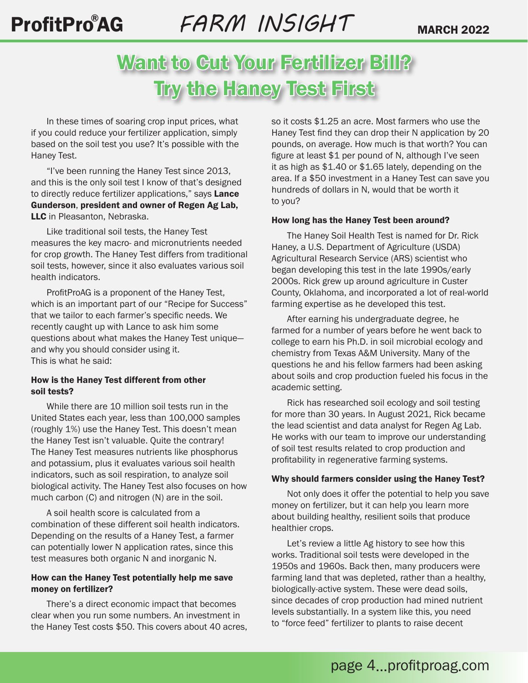# ProfitPro<sup>®</sup>AG *FARM INSIGHT* MARCH 2022

# Want to Gut Your Fertillizer Bill? Try the Haney Test First

In these times of soaring crop input prices, what if you could reduce your fertilizer application, simply based on the soil test you use? It's possible with the Haney Test.

"I've been running the Haney Test since 2013, and this is the only soil test I know of that's designed to directly reduce fertilizer applications," says Lance Gunderson, president and owner of Regen Ag Lab, LLC in Pleasanton, Nebraska.

Like traditional soil tests, the Haney Test measures the key macro- and micronutrients needed for crop growth. The Haney Test differs from traditional soil tests, however, since it also evaluates various soil health indicators.

ProfitProAG is a proponent of the Haney Test, which is an important part of our "Recipe for Success" that we tailor to each farmer's specific needs. We recently caught up with Lance to ask him some questions about what makes the Haney Test unique and why you should consider using it. This is what he said:

#### How is the Haney Test different from other soil tests?

While there are 10 million soil tests run in the United States each year, less than 100,000 samples (roughly 1%) use the Haney Test. This doesn't mean the Haney Test isn't valuable. Quite the contrary! The Haney Test measures nutrients like phosphorus and potassium, plus it evaluates various soil health indicators, such as soil respiration, to analyze soil biological activity. The Haney Test also focuses on how much carbon (C) and nitrogen (N) are in the soil.

A soil health score is calculated from a combination of these different soil health indicators. Depending on the results of a Haney Test, a farmer can potentially lower N application rates, since this test measures both organic N and inorganic N.

#### How can the Haney Test potentially help me save money on fertilizer?

There's a direct economic impact that becomes clear when you run some numbers. An investment in the Haney Test costs \$50. This covers about 40 acres, so it costs \$1.25 an acre. Most farmers who use the Haney Test find they can drop their N application by 20 pounds, on average. How much is that worth? You can figure at least \$1 per pound of N, although I've seen it as high as \$1.40 or \$1.65 lately, depending on the area. If a \$50 investment in a Haney Test can save you hundreds of dollars in N, would that be worth it to you?

#### How long has the Haney Test been around?

The Haney Soil Health Test is named for Dr. Rick Haney, a U.S. Department of Agriculture (USDA) Agricultural Research Service (ARS) scientist who began developing this test in the late 1990s/early 2000s. Rick grew up around agriculture in Custer County, Oklahoma, and incorporated a lot of real-world farming expertise as he developed this test.

After earning his undergraduate degree, he farmed for a number of years before he went back to college to earn his Ph.D. in soil microbial ecology and chemistry from Texas A&M University. Many of the questions he and his fellow farmers had been asking about soils and crop production fueled his focus in the academic setting.

Rick has researched soil ecology and soil testing for more than 30 years. In August 2021, Rick became the lead scientist and data analyst for Regen Ag Lab. He works with our team to improve our understanding of soil test results related to crop production and profitability in regenerative farming systems.

#### Why should farmers consider using the Haney Test?

Not only does it offer the potential to help you save money on fertilizer, but it can help you learn more about building healthy, resilient soils that produce healthier crops.

Let's review a little Ag history to see how this works. Traditional soil tests were developed in the 1950s and 1960s. Back then, many producers were farming land that was depleted, rather than a healthy, biologically-active system. These were dead soils, since decades of crop production had mined nutrient levels substantially. In a system like this, you need to "force feed" fertilizer to plants to raise decent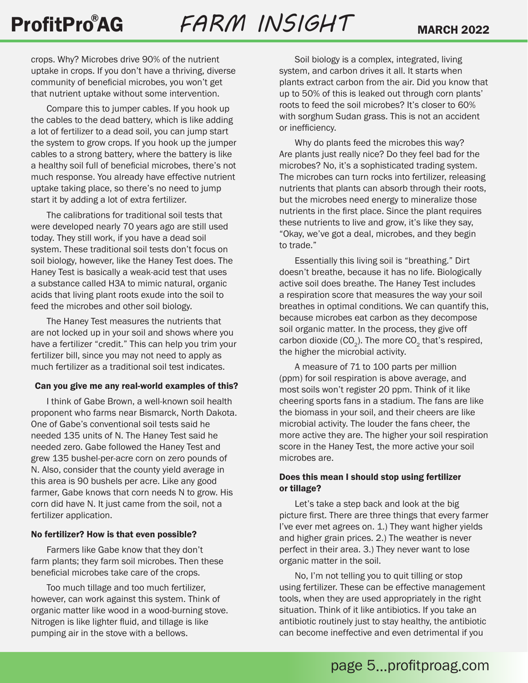crops. Why? Microbes drive 90% of the nutrient uptake in crops. If you don't have a thriving, diverse community of beneficial microbes, you won't get that nutrient uptake without some intervention.

Compare this to jumper cables. If you hook up the cables to the dead battery, which is like adding a lot of fertilizer to a dead soil, you can jump start the system to grow crops. If you hook up the jumper cables to a strong battery, where the battery is like a healthy soil full of beneficial microbes, there's not much response. You already have effective nutrient uptake taking place, so there's no need to jump start it by adding a lot of extra fertilizer.

The calibrations for traditional soil tests that were developed nearly 70 years ago are still used today. They still work, if you have a dead soil system. These traditional soil tests don't focus on soil biology, however, like the Haney Test does. The Haney Test is basically a weak-acid test that uses a substance called H3A to mimic natural, organic acids that living plant roots exude into the soil to feed the microbes and other soil biology.

The Haney Test measures the nutrients that are not locked up in your soil and shows where you have a fertilizer "credit." This can help you trim your fertilizer bill, since you may not need to apply as much fertilizer as a traditional soil test indicates.

#### Can you give me any real-world examples of this?

I think of Gabe Brown, a well-known soil health proponent who farms near Bismarck, North Dakota. One of Gabe's conventional soil tests said he needed 135 units of N. The Haney Test said he needed zero. Gabe followed the Haney Test and grew 135 bushel-per-acre corn on zero pounds of N. Also, consider that the county yield average in this area is 90 bushels per acre. Like any good farmer, Gabe knows that corn needs N to grow. His corn did have N. It just came from the soil, not a fertilizer application.

#### No fertilizer? How is that even possible?

Farmers like Gabe know that they don't farm plants; they farm soil microbes. Then these beneficial microbes take care of the crops.

Too much tillage and too much fertilizer, however, can work against this system. Think of organic matter like wood in a wood-burning stove. Nitrogen is like lighter fluid, and tillage is like pumping air in the stove with a bellows.

Soil biology is a complex, integrated, living system, and carbon drives it all. It starts when plants extract carbon from the air. Did you know that up to 50% of this is leaked out through corn plants' roots to feed the soil microbes? It's closer to 60% with sorghum Sudan grass. This is not an accident or inefficiency.

Why do plants feed the microbes this way? Are plants just really nice? Do they feel bad for the microbes? No, it's a sophisticated trading system. The microbes can turn rocks into fertilizer, releasing nutrients that plants can absorb through their roots, but the microbes need energy to mineralize those nutrients in the first place. Since the plant requires these nutrients to live and grow, it's like they say, "Okay, we've got a deal, microbes, and they begin to trade."

Essentially this living soil is "breathing." Dirt doesn't breathe, because it has no life. Biologically active soil does breathe. The Haney Test includes a respiration score that measures the way your soil breathes in optimal conditions. We can quantify this, because microbes eat carbon as they decompose soil organic matter. In the process, they give off carbon dioxide  $(CO_2)$ . The more  $CO_2$  that's respired, the higher the microbial activity.

A measure of 71 to 100 parts per million (ppm) for soil respiration is above average, and most soils won't register 20 ppm. Think of it like cheering sports fans in a stadium. The fans are like the biomass in your soil, and their cheers are like microbial activity. The louder the fans cheer, the more active they are. The higher your soil respiration score in the Haney Test, the more active your soil microbes are.

### Does this mean I should stop using fertilizer or tillage?

Let's take a step back and look at the big picture first. There are three things that every farmer I've ever met agrees on. 1.) They want higher yields and higher grain prices. 2.) The weather is never perfect in their area. 3.) They never want to lose organic matter in the soil.

No, I'm not telling you to quit tilling or stop using fertilizer. These can be effective management tools, when they are used appropriately in the right situation. Think of it like antibiotics. If you take an antibiotic routinely just to stay healthy, the antibiotic can become ineffective and even detrimental if you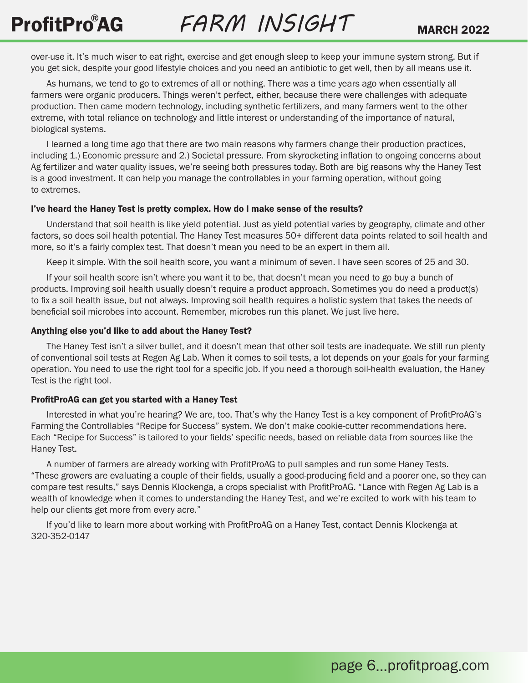over-use it. It's much wiser to eat right, exercise and get enough sleep to keep your immune system strong. But if you get sick, despite your good lifestyle choices and you need an antibiotic to get well, then by all means use it.

As humans, we tend to go to extremes of all or nothing. There was a time years ago when essentially all farmers were organic producers. Things weren't perfect, either, because there were challenges with adequate production. Then came modern technology, including synthetic fertilizers, and many farmers went to the other extreme, with total reliance on technology and little interest or understanding of the importance of natural, biological systems.

I learned a long time ago that there are two main reasons why farmers change their production practices, including 1.) Economic pressure and 2.) Societal pressure. From skyrocketing inflation to ongoing concerns about Ag fertilizer and water quality issues, we're seeing both pressures today. Both are big reasons why the Haney Test is a good investment. It can help you manage the controllables in your farming operation, without going to extremes.

#### I've heard the Haney Test is pretty complex. How do I make sense of the results?

Understand that soil health is like yield potential. Just as yield potential varies by geography, climate and other factors, so does soil health potential. The Haney Test measures 50+ different data points related to soil health and more, so it's a fairly complex test. That doesn't mean you need to be an expert in them all.

Keep it simple. With the soil health score, you want a minimum of seven. I have seen scores of 25 and 30.

If your soil health score isn't where you want it to be, that doesn't mean you need to go buy a bunch of products. Improving soil health usually doesn't require a product approach. Sometimes you do need a product(s) to fix a soil health issue, but not always. Improving soil health requires a holistic system that takes the needs of beneficial soil microbes into account. Remember, microbes run this planet. We just live here.

#### Anything else you'd like to add about the Haney Test?

The Haney Test isn't a silver bullet, and it doesn't mean that other soil tests are inadequate. We still run plenty of conventional soil tests at Regen Ag Lab. When it comes to soil tests, a lot depends on your goals for your farming operation. You need to use the right tool for a specific job. If you need a thorough soil-health evaluation, the Haney Test is the right tool.

#### ProfitProAG can get you started with a Haney Test

Interested in what you're hearing? We are, too. That's why the Haney Test is a key component of ProfitProAG's Farming the Controllables "Recipe for Success" system. We don't make cookie-cutter recommendations here. Each "Recipe for Success" is tailored to your fields' specific needs, based on reliable data from sources like the Haney Test.

A number of farmers are already working with ProfitProAG to pull samples and run some Haney Tests. "These growers are evaluating a couple of their fields, usually a good-producing field and a poorer one, so they can compare test results," says Dennis Klockenga, a crops specialist with ProfitProAG. "Lance with Regen Ag Lab is a wealth of knowledge when it comes to understanding the Haney Test, and we're excited to work with his team to help our clients get more from every acre."

If you'd like to learn more about working with ProfitProAG on a Haney Test, contact Dennis Klockenga at 320-352-0147